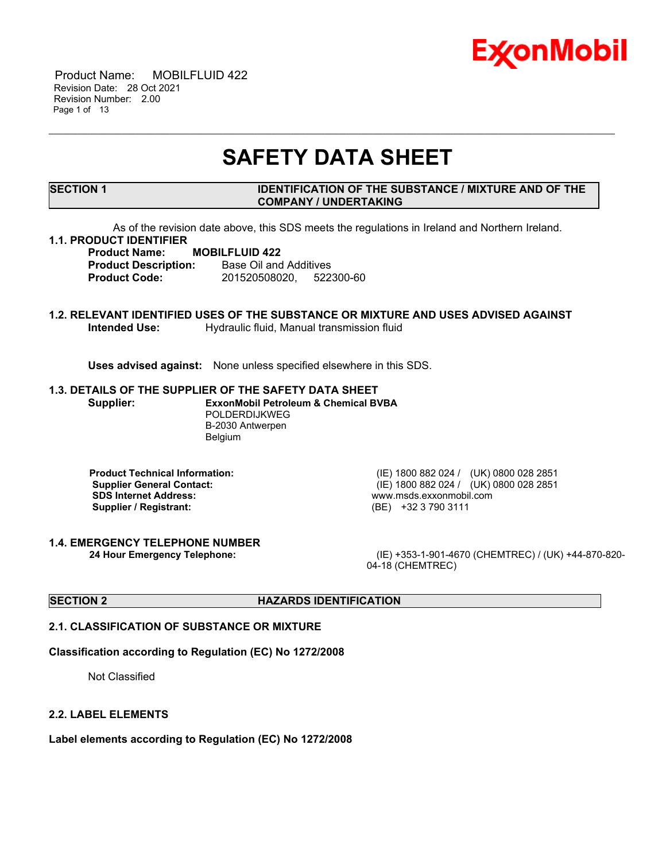

 Product Name: MOBILFLUID 422 Revision Date: 28 Oct 2021 Revision Number: 2.00 Page 1 of 13

# **SAFETY DATA SHEET**

\_\_\_\_\_\_\_\_\_\_\_\_\_\_\_\_\_\_\_\_\_\_\_\_\_\_\_\_\_\_\_\_\_\_\_\_\_\_\_\_\_\_\_\_\_\_\_\_\_\_\_\_\_\_\_\_\_\_\_\_\_\_\_\_\_\_\_\_\_\_\_\_\_\_\_\_\_\_\_\_\_\_\_\_\_\_\_\_\_\_\_\_\_\_\_\_\_\_\_\_\_\_\_\_\_\_\_\_\_\_\_\_\_\_\_\_\_

# **SECTION 1 IDENTIFICATION OF THE SUBSTANCE / MIXTURE AND OF THE COMPANY / UNDERTAKING**

As of the revision date above, this SDS meets the regulations in Ireland and Northern Ireland.

# **1.1. PRODUCT IDENTIFIER**

**Product Name: MOBILFLUID 422 Product Description:** Base Oil and Additives **Product Code:** 201520508020, 522300-60

# **1.2. RELEVANT IDENTIFIED USES OF THE SUBSTANCE OR MIXTURE AND USES ADVISED AGAINST Intended Use:** Hydraulic fluid, Manual transmission fluid

**Uses advised against:** None unless specified elsewhere in this SDS.

### **1.3. DETAILS OF THE SUPPLIER OF THE SAFETY DATA SHEET**

**Supplier: ExxonMobil Petroleum & Chemical BVBA** POLDERDIJKWEG B-2030 Antwerpen Belgium

**Product Technical Information:** (IE) 1800 882 024 / (UK) 0800 028 2851 **SDS Internet Address:** www.msds.exxonmobil.com **Supplier / Registrant:** (BE) +32 3 790 3111

**1.4. EMERGENCY TELEPHONE NUMBER**

**Supplier General Contact:** (IE) 1800 882 024 / (UK) 0800 028 2851

**24 Hour Emergency Telephone:** (IE) +353-1-901-4670 (CHEMTREC) / (UK) +44-870-820- 04-18 (CHEMTREC)

# **SECTION 2 HAZARDS IDENTIFICATION**

# **2.1. CLASSIFICATION OF SUBSTANCE OR MIXTURE**

### **Classification according to Regulation (EC) No 1272/2008**

Not Classified

### **2.2. LABEL ELEMENTS**

**Label elements according to Regulation (EC) No 1272/2008**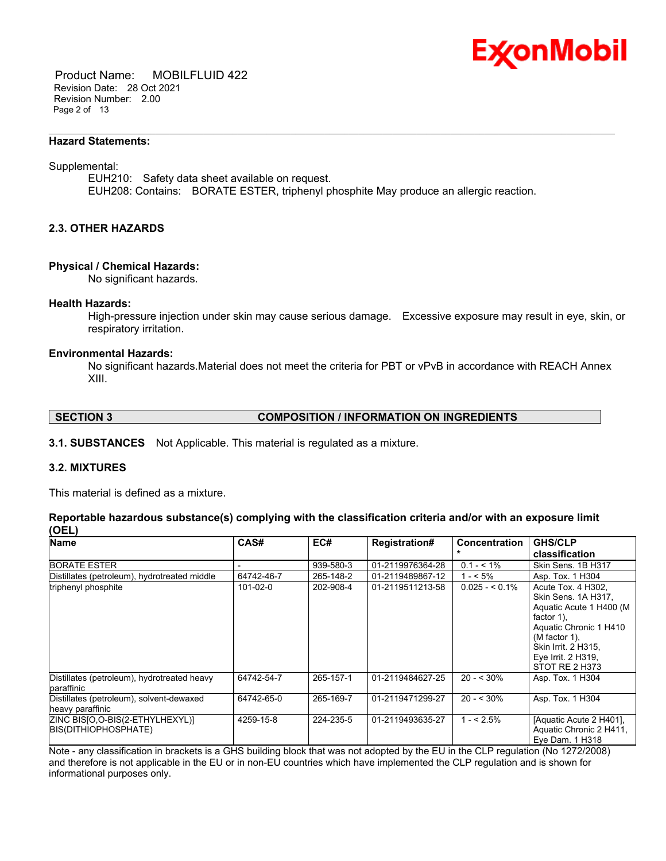

 Product Name: MOBILFLUID 422 Revision Date: 28 Oct 2021 Revision Number: 2.00 Page 2 of 13

#### **Hazard Statements:**

#### Supplemental:

EUH210: Safety data sheet available on request. EUH208: Contains: BORATE ESTER, triphenyl phosphite May produce an allergic reaction.

\_\_\_\_\_\_\_\_\_\_\_\_\_\_\_\_\_\_\_\_\_\_\_\_\_\_\_\_\_\_\_\_\_\_\_\_\_\_\_\_\_\_\_\_\_\_\_\_\_\_\_\_\_\_\_\_\_\_\_\_\_\_\_\_\_\_\_\_\_\_\_\_\_\_\_\_\_\_\_\_\_\_\_\_\_\_\_\_\_\_\_\_\_\_\_\_\_\_\_\_\_\_\_\_\_\_\_\_\_\_\_\_\_\_\_\_\_

# **2.3. OTHER HAZARDS**

#### **Physical / Chemical Hazards:**

No significant hazards.

#### **Health Hazards:**

High-pressure injection under skin may cause serious damage. Excessive exposure may result in eye, skin, or respiratory irritation.

### **Environmental Hazards:**

No significant hazards.Material does not meet the criteria for PBT or vPvB in accordance with REACH Annex XIII.

# **SECTION 3 COMPOSITION / INFORMATION ON INGREDIENTS**

**3.1. SUBSTANCES** Not Applicable. This material is regulated as a mixture.

# **3.2. MIXTURES**

This material is defined as a mixture.

# **Reportable hazardous substance(s) complying with the classification criteria and/or with an exposure limit (OEL)**

| <b>Name</b>                                                  | CAS#           | EC#       | <b>Registration#</b> | <b>Concentration</b> | <b>GHS/CLP</b>                                                                                                                                                                                     |
|--------------------------------------------------------------|----------------|-----------|----------------------|----------------------|----------------------------------------------------------------------------------------------------------------------------------------------------------------------------------------------------|
|                                                              |                |           |                      |                      | classification                                                                                                                                                                                     |
| <b>BORATE ESTER</b>                                          |                | 939-580-3 | 01-2119976364-28     | $0.1 - 5.1\%$        | Skin Sens. 1B H317                                                                                                                                                                                 |
| Distillates (petroleum), hydrotreated middle                 | 64742-46-7     | 265-148-2 | 01-2119489867-12     | $1 - 5\%$            | Asp. Tox. 1 H304                                                                                                                                                                                   |
| triphenyl phosphite                                          | $101 - 02 - 0$ | 202-908-4 | 01-2119511213-58     | $0.025 - 5.1\%$      | Acute Tox. 4 H302.<br>Skin Sens. 1A H317,<br>Aquatic Acute 1 H400 (M<br>factor $1$ ),<br>Aquatic Chronic 1 H410<br>$(M factor 1)$ ,<br>Skin Irrit. 2 H315,<br>Eye Irrit. 2 H319,<br>STOT RE 2 H373 |
| Distillates (petroleum), hydrotreated heavy<br>paraffinic    | 64742-54-7     | 265-157-1 | 01-2119484627-25     | $20 - 530\%$         | Asp. Tox. 1 H304                                                                                                                                                                                   |
| Distillates (petroleum), solvent-dewaxed<br>heavy paraffinic | 64742-65-0     | 265-169-7 | 01-2119471299-27     | $20 - 530\%$         | Asp. Tox. 1 H304                                                                                                                                                                                   |
| ZINC BISJO, O-BIS(2-ETHYLHEXYL)]<br>BIS(DITHIOPHOSPHATE)     | 4259-15-8      | 224-235-5 | 01-2119493635-27     | $1 - 5\%$            | [Aquatic Acute 2 H401],<br>Aquatic Chronic 2 H411,<br>Eye Dam. 1 H318                                                                                                                              |

Note - any classification in brackets is a GHS building block that was not adopted by the EU in the CLP regulation (No 1272/2008) and therefore is not applicable in the EU or in non-EU countries which have implemented the CLP regulation and is shown for informational purposes only.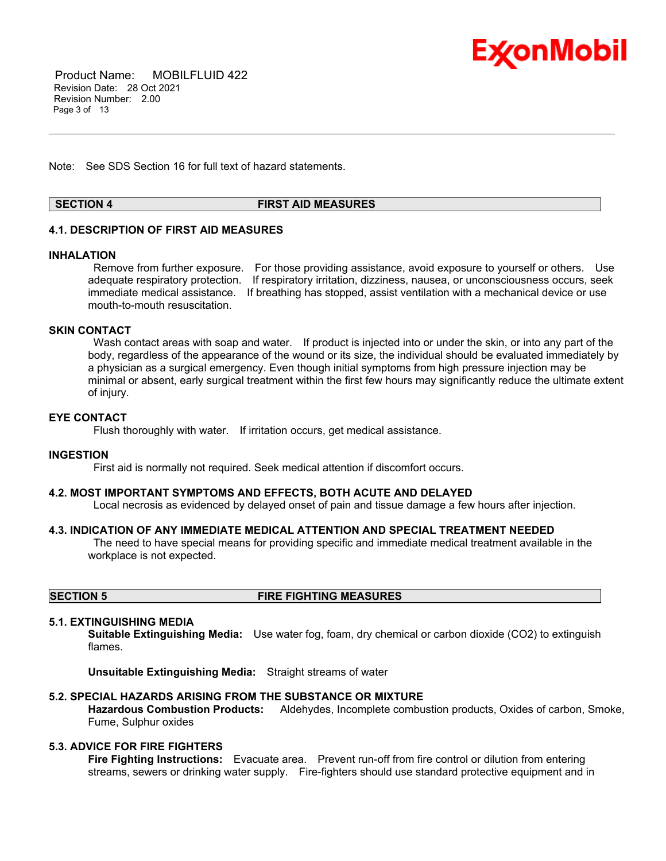

 Product Name: MOBILFLUID 422 Revision Date: 28 Oct 2021 Revision Number: 2.00 Page 3 of 13

Note: See SDS Section 16 for full text of hazard statements.

# **SECTION 4 FIRST AID MEASURES**

\_\_\_\_\_\_\_\_\_\_\_\_\_\_\_\_\_\_\_\_\_\_\_\_\_\_\_\_\_\_\_\_\_\_\_\_\_\_\_\_\_\_\_\_\_\_\_\_\_\_\_\_\_\_\_\_\_\_\_\_\_\_\_\_\_\_\_\_\_\_\_\_\_\_\_\_\_\_\_\_\_\_\_\_\_\_\_\_\_\_\_\_\_\_\_\_\_\_\_\_\_\_\_\_\_\_\_\_\_\_\_\_\_\_\_\_\_

# **4.1. DESCRIPTION OF FIRST AID MEASURES**

#### **INHALATION**

Remove from further exposure. For those providing assistance, avoid exposure to yourself or others. Use adequate respiratory protection. If respiratory irritation, dizziness, nausea, or unconsciousness occurs, seek immediate medical assistance. If breathing has stopped, assist ventilation with a mechanical device or use mouth-to-mouth resuscitation.

# **SKIN CONTACT**

Wash contact areas with soap and water. If product is injected into or under the skin, or into any part of the body, regardless of the appearance of the wound or its size, the individual should be evaluated immediately by a physician as a surgical emergency. Even though initial symptoms from high pressure injection may be minimal or absent, early surgical treatment within the first few hours may significantly reduce the ultimate extent of injury.

# **EYE CONTACT**

Flush thoroughly with water. If irritation occurs, get medical assistance.

### **INGESTION**

First aid is normally not required. Seek medical attention if discomfort occurs.

#### **4.2. MOST IMPORTANT SYMPTOMS AND EFFECTS, BOTH ACUTE AND DELAYED**

Local necrosis as evidenced by delayed onset of pain and tissue damage a few hours after injection.

#### **4.3. INDICATION OF ANY IMMEDIATE MEDICAL ATTENTION AND SPECIAL TREATMENT NEEDED**

The need to have special means for providing specific and immediate medical treatment available in the workplace is not expected.

# **SECTION 5 FIRE FIGHTING MEASURES**

#### **5.1. EXTINGUISHING MEDIA**

**Suitable Extinguishing Media:** Use water fog, foam, dry chemical or carbon dioxide (CO2) to extinguish flames.

**Unsuitable Extinguishing Media:** Straight streams of water

### **5.2. SPECIAL HAZARDS ARISING FROM THE SUBSTANCE OR MIXTURE**

**Hazardous Combustion Products:** Aldehydes, Incomplete combustion products, Oxides of carbon, Smoke, Fume, Sulphur oxides

# **5.3. ADVICE FOR FIRE FIGHTERS**

**Fire Fighting Instructions:** Evacuate area. Prevent run-off from fire control or dilution from entering streams, sewers or drinking water supply. Fire-fighters should use standard protective equipment and in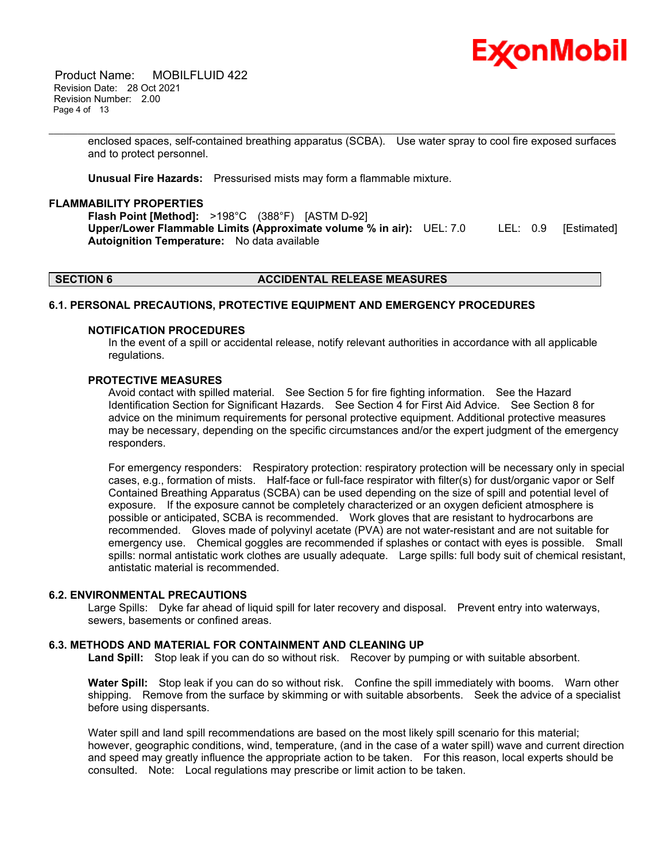

 Product Name: MOBILFLUID 422 Revision Date: 28 Oct 2021 Revision Number: 2.00 Page 4 of 13

> enclosed spaces, self-contained breathing apparatus (SCBA). Use water spray to cool fire exposed surfaces and to protect personnel.

\_\_\_\_\_\_\_\_\_\_\_\_\_\_\_\_\_\_\_\_\_\_\_\_\_\_\_\_\_\_\_\_\_\_\_\_\_\_\_\_\_\_\_\_\_\_\_\_\_\_\_\_\_\_\_\_\_\_\_\_\_\_\_\_\_\_\_\_\_\_\_\_\_\_\_\_\_\_\_\_\_\_\_\_\_\_\_\_\_\_\_\_\_\_\_\_\_\_\_\_\_\_\_\_\_\_\_\_\_\_\_\_\_\_\_\_\_

**Unusual Fire Hazards:** Pressurised mists may form a flammable mixture.

### **FLAMMABILITY PROPERTIES**

**Flash Point [Method]:** >198°C (388°F) [ASTM D-92] **Upper/Lower Flammable Limits (Approximate volume % in air):** UEL: 7.0 LEL: 0.9 [Estimated] **Autoignition Temperature:** No data available

### **SECTION 6 ACCIDENTAL RELEASE MEASURES**

# **6.1. PERSONAL PRECAUTIONS, PROTECTIVE EQUIPMENT AND EMERGENCY PROCEDURES**

#### **NOTIFICATION PROCEDURES**

In the event of a spill or accidental release, notify relevant authorities in accordance with all applicable regulations.

#### **PROTECTIVE MEASURES**

Avoid contact with spilled material. See Section 5 for fire fighting information. See the Hazard Identification Section for Significant Hazards. See Section 4 for First Aid Advice. See Section 8 for advice on the minimum requirements for personal protective equipment. Additional protective measures may be necessary, depending on the specific circumstances and/or the expert judgment of the emergency responders.

For emergency responders: Respiratory protection: respiratory protection will be necessary only in special cases, e.g., formation of mists. Half-face or full-face respirator with filter(s) for dust/organic vapor or Self Contained Breathing Apparatus (SCBA) can be used depending on the size of spill and potential level of exposure. If the exposure cannot be completely characterized or an oxygen deficient atmosphere is possible or anticipated, SCBA is recommended. Work gloves that are resistant to hydrocarbons are recommended. Gloves made of polyvinyl acetate (PVA) are not water-resistant and are not suitable for emergency use. Chemical goggles are recommended if splashes or contact with eyes is possible. Small spills: normal antistatic work clothes are usually adequate. Large spills: full body suit of chemical resistant, antistatic material is recommended.

#### **6.2. ENVIRONMENTAL PRECAUTIONS**

Large Spills: Dyke far ahead of liquid spill for later recovery and disposal. Prevent entry into waterways, sewers, basements or confined areas.

# **6.3. METHODS AND MATERIAL FOR CONTAINMENT AND CLEANING UP**

**Land Spill:** Stop leak if you can do so without risk. Recover by pumping or with suitable absorbent.

**Water Spill:** Stop leak if you can do so without risk. Confine the spill immediately with booms. Warn other shipping. Remove from the surface by skimming or with suitable absorbents. Seek the advice of a specialist before using dispersants.

Water spill and land spill recommendations are based on the most likely spill scenario for this material; however, geographic conditions, wind, temperature, (and in the case of a water spill) wave and current direction and speed may greatly influence the appropriate action to be taken. For this reason, local experts should be consulted. Note: Local regulations may prescribe or limit action to be taken.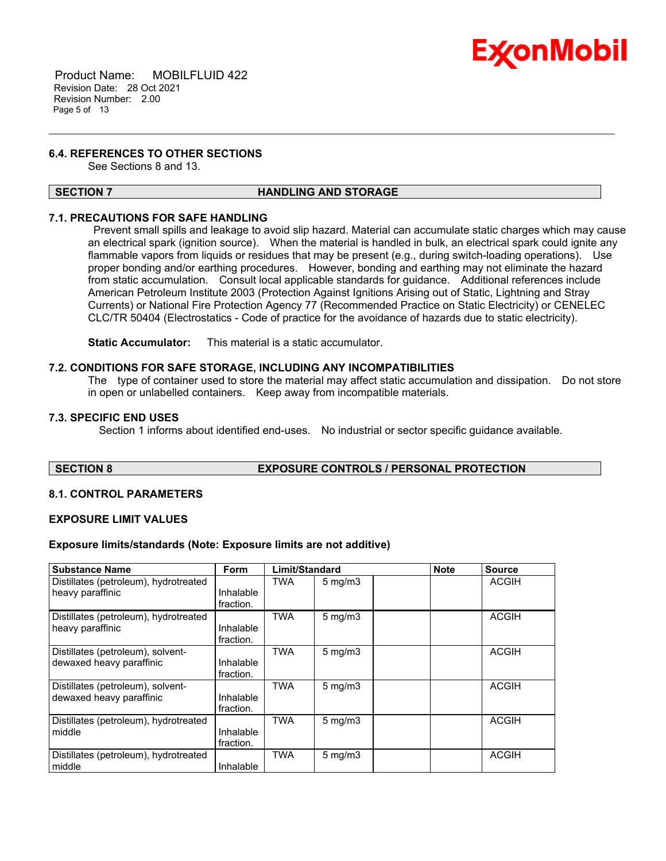

 Product Name: MOBILFLUID 422 Revision Date: 28 Oct 2021 Revision Number: 2.00 Page 5 of 13

# **6.4. REFERENCES TO OTHER SECTIONS**

See Sections 8 and 13.

### **SECTION 7 HANDLING AND STORAGE**

\_\_\_\_\_\_\_\_\_\_\_\_\_\_\_\_\_\_\_\_\_\_\_\_\_\_\_\_\_\_\_\_\_\_\_\_\_\_\_\_\_\_\_\_\_\_\_\_\_\_\_\_\_\_\_\_\_\_\_\_\_\_\_\_\_\_\_\_\_\_\_\_\_\_\_\_\_\_\_\_\_\_\_\_\_\_\_\_\_\_\_\_\_\_\_\_\_\_\_\_\_\_\_\_\_\_\_\_\_\_\_\_\_\_\_\_\_

# **7.1. PRECAUTIONS FOR SAFE HANDLING**

Prevent small spills and leakage to avoid slip hazard. Material can accumulate static charges which may cause an electrical spark (ignition source). When the material is handled in bulk, an electrical spark could ignite any flammable vapors from liquids or residues that may be present (e.g., during switch-loading operations). Use proper bonding and/or earthing procedures. However, bonding and earthing may not eliminate the hazard from static accumulation. Consult local applicable standards for guidance. Additional references include American Petroleum Institute 2003 (Protection Against Ignitions Arising out of Static, Lightning and Stray Currents) or National Fire Protection Agency 77 (Recommended Practice on Static Electricity) or CENELEC CLC/TR 50404 (Electrostatics - Code of practice for the avoidance of hazards due to static electricity).

**Static Accumulator:** This material is a static accumulator.

### **7.2. CONDITIONS FOR SAFE STORAGE, INCLUDING ANY INCOMPATIBILITIES**

The type of container used to store the material may affect static accumulation and dissipation. Do not store in open or unlabelled containers. Keep away from incompatible materials.

# **7.3. SPECIFIC END USES**

Section 1 informs about identified end-uses. No industrial or sector specific guidance available.

### **SECTION 8 EXPOSURE CONTROLS / PERSONAL PROTECTION**

# **8.1. CONTROL PARAMETERS**

#### **EXPOSURE LIMIT VALUES**

### **Exposure limits/standards (Note: Exposure limits are not additive)**

| <b>Substance Name</b>                                         | <b>Form</b>            | Limit/Standard |                  | <b>Note</b> | <b>Source</b> |
|---------------------------------------------------------------|------------------------|----------------|------------------|-------------|---------------|
| Distillates (petroleum), hydrotreated<br>heavy paraffinic     | Inhalable<br>fraction. | TWA            | $5 \text{ mg/m}$ |             | <b>ACGIH</b>  |
| Distillates (petroleum), hydrotreated<br>heavy paraffinic     | Inhalable<br>fraction. | <b>TWA</b>     | $5$ mg/m $3$     |             | <b>ACGIH</b>  |
| Distillates (petroleum), solvent-<br>dewaxed heavy paraffinic | Inhalable<br>fraction. | <b>TWA</b>     | $5$ mg/m $3$     |             | <b>ACGIH</b>  |
| Distillates (petroleum), solvent-<br>dewaxed heavy paraffinic | Inhalable<br>fraction. | <b>TWA</b>     | $5 \text{ mg/m}$ |             | <b>ACGIH</b>  |
| Distillates (petroleum), hydrotreated<br>middle               | Inhalable<br>fraction. | <b>TWA</b>     | $5 \text{ mg/m}$ |             | <b>ACGIH</b>  |
| Distillates (petroleum), hydrotreated<br>middle               | Inhalable              | <b>TWA</b>     | $5 \text{ mg/m}$ |             | <b>ACGIH</b>  |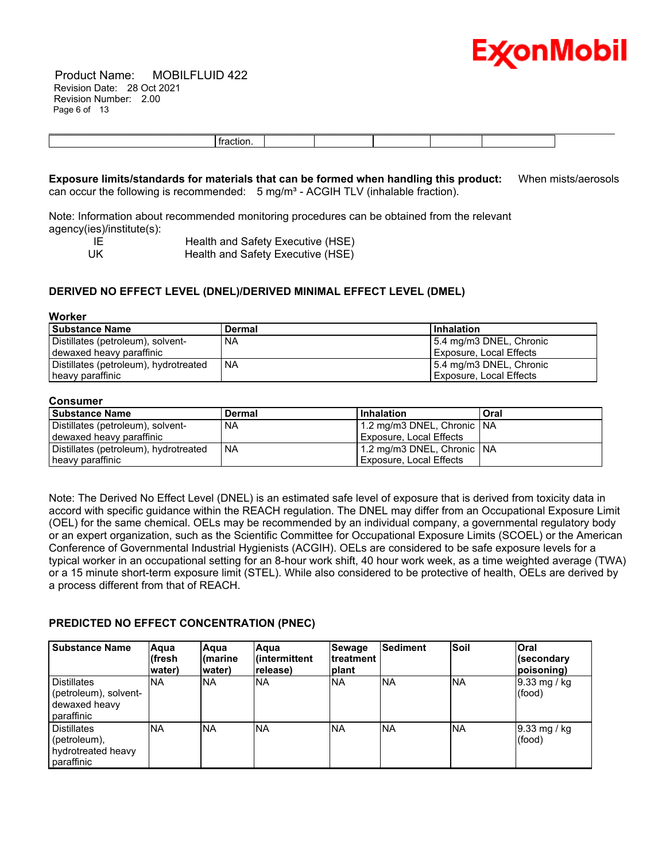

 Product Name: MOBILFLUID 422 Revision Date: 28 Oct 2021 Revision Number: 2.00 Page 6 of 13

| .<br>. |  |  |  |
|--------|--|--|--|

**Exposure limits/standards for materials that can be formed when handling this product:** When mists/aerosols can occur the following is recommended:  $5$  mg/m<sup>3</sup> - ACGIH TLV (inhalable fraction).

Note: Information about recommended monitoring procedures can be obtained from the relevant agency(ies)/institute(s):

IE **Im Health and Safety Executive (HSE)**<br>UK Health and Safety Executive (HSE) Health and Safety Executive (HSE)

# **DERIVED NO EFFECT LEVEL (DNEL)/DERIVED MINIMAL EFFECT LEVEL (DMEL)**

#### **Worker**

| l Substance Name                      | <b>Dermal</b> | Inhalation                |
|---------------------------------------|---------------|---------------------------|
| Distillates (petroleum), solvent-     | <b>NA</b>     | 5.4 mg/m3 DNEL, Chronic   |
| dewaxed heavy paraffinic              |               | Exposure, Local Effects   |
| Distillates (petroleum), hydrotreated | I NA          | l 5.4 mg/m3 DNEL, Chronic |
| heavy paraffinic                      |               | Exposure, Local Effects   |

#### **Consumer**

| <b>Substance Name</b>                 | Dermal | <b>Inhalation</b>              | Oral |
|---------------------------------------|--------|--------------------------------|------|
| Distillates (petroleum), solvent-     | NA     | 1.2 mg/m3 DNEL, Chronic   NA   |      |
| dewaxed heavy paraffinic              |        | Exposure, Local Effects        |      |
| Distillates (petroleum), hydrotreated | ' NA   | 1.2 mg/m3 DNEL, Chronic   NA   |      |
| heavy paraffinic                      |        | <b>Exposure, Local Effects</b> |      |

Note: The Derived No Effect Level (DNEL) is an estimated safe level of exposure that is derived from toxicity data in accord with specific guidance within the REACH regulation. The DNEL may differ from an Occupational Exposure Limit (OEL) for the same chemical. OELs may be recommended by an individual company, a governmental regulatory body or an expert organization, such as the Scientific Committee for Occupational Exposure Limits (SCOEL) or the American Conference of Governmental Industrial Hygienists (ACGIH). OELs are considered to be safe exposure levels for a typical worker in an occupational setting for an 8-hour work shift, 40 hour work week, as a time weighted average (TWA) or a 15 minute short-term exposure limit (STEL). While also considered to be protective of health, OELs are derived by a process different from that of REACH.

# **PREDICTED NO EFFECT CONCENTRATION (PNEC)**

| <b>Substance Name</b>                                                      | Aqua<br>(fresh<br>water) | Aqua<br>∣(marine<br>water) | <b>Aaua</b><br>l(intermittent_<br>release) | Sewage<br>Itreatment<br><b>Iplant</b> | <b>Sediment</b> | Soil       | <b>Oral</b><br>(secondary<br>(poisoning |
|----------------------------------------------------------------------------|--------------------------|----------------------------|--------------------------------------------|---------------------------------------|-----------------|------------|-----------------------------------------|
| <b>Distillates</b><br>(petroleum), solvent-<br>dewaxed heavy<br>paraffinic | <b>NA</b>                | <b>NA</b>                  | NA                                         | <b>NA</b>                             | <b>NA</b>       | <b>NA</b>  | 9.33 mg / kg<br>(food)                  |
| <b>Distillates</b><br>(petroleum),<br>hydrotreated heavy<br>paraffinic     | <b>NA</b>                | <b>INA</b>                 | NA.                                        | INA                                   | <b>NA</b>       | <b>INA</b> | $\vert 9.33 \rangle$ mg / kg<br>(food)  |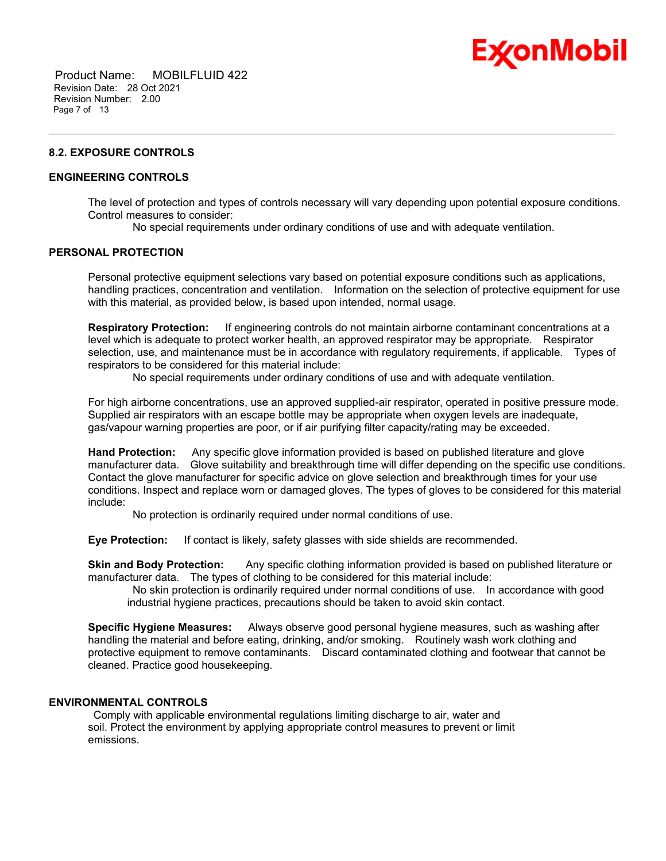

 Product Name: MOBILFLUID 422 Revision Date: 28 Oct 2021 Revision Number: 2.00 Page 7 of 13

# **8.2. EXPOSURE CONTROLS**

# **ENGINEERING CONTROLS**

The level of protection and types of controls necessary will vary depending upon potential exposure conditions. Control measures to consider:

No special requirements under ordinary conditions of use and with adequate ventilation.

\_\_\_\_\_\_\_\_\_\_\_\_\_\_\_\_\_\_\_\_\_\_\_\_\_\_\_\_\_\_\_\_\_\_\_\_\_\_\_\_\_\_\_\_\_\_\_\_\_\_\_\_\_\_\_\_\_\_\_\_\_\_\_\_\_\_\_\_\_\_\_\_\_\_\_\_\_\_\_\_\_\_\_\_\_\_\_\_\_\_\_\_\_\_\_\_\_\_\_\_\_\_\_\_\_\_\_\_\_\_\_\_\_\_\_\_\_

# **PERSONAL PROTECTION**

Personal protective equipment selections vary based on potential exposure conditions such as applications, handling practices, concentration and ventilation. Information on the selection of protective equipment for use with this material, as provided below, is based upon intended, normal usage.

**Respiratory Protection:** If engineering controls do not maintain airborne contaminant concentrations at a level which is adequate to protect worker health, an approved respirator may be appropriate. Respirator selection, use, and maintenance must be in accordance with regulatory requirements, if applicable. Types of respirators to be considered for this material include:

No special requirements under ordinary conditions of use and with adequate ventilation.

For high airborne concentrations, use an approved supplied-air respirator, operated in positive pressure mode. Supplied air respirators with an escape bottle may be appropriate when oxygen levels are inadequate, gas/vapour warning properties are poor, or if air purifying filter capacity/rating may be exceeded.

**Hand Protection:** Any specific glove information provided is based on published literature and glove manufacturer data. Glove suitability and breakthrough time will differ depending on the specific use conditions. Contact the glove manufacturer for specific advice on glove selection and breakthrough times for your use conditions. Inspect and replace worn or damaged gloves. The types of gloves to be considered for this material include:

No protection is ordinarily required under normal conditions of use.

**Eye Protection:** If contact is likely, safety glasses with side shields are recommended.

**Skin and Body Protection:** Any specific clothing information provided is based on published literature or manufacturer data. The types of clothing to be considered for this material include:

No skin protection is ordinarily required under normal conditions of use. In accordance with good industrial hygiene practices, precautions should be taken to avoid skin contact.

**Specific Hygiene Measures:** Always observe good personal hygiene measures, such as washing after handling the material and before eating, drinking, and/or smoking. Routinely wash work clothing and protective equipment to remove contaminants. Discard contaminated clothing and footwear that cannot be cleaned. Practice good housekeeping.

# **ENVIRONMENTAL CONTROLS**

Comply with applicable environmental regulations limiting discharge to air, water and soil. Protect the environment by applying appropriate control measures to prevent or limit emissions.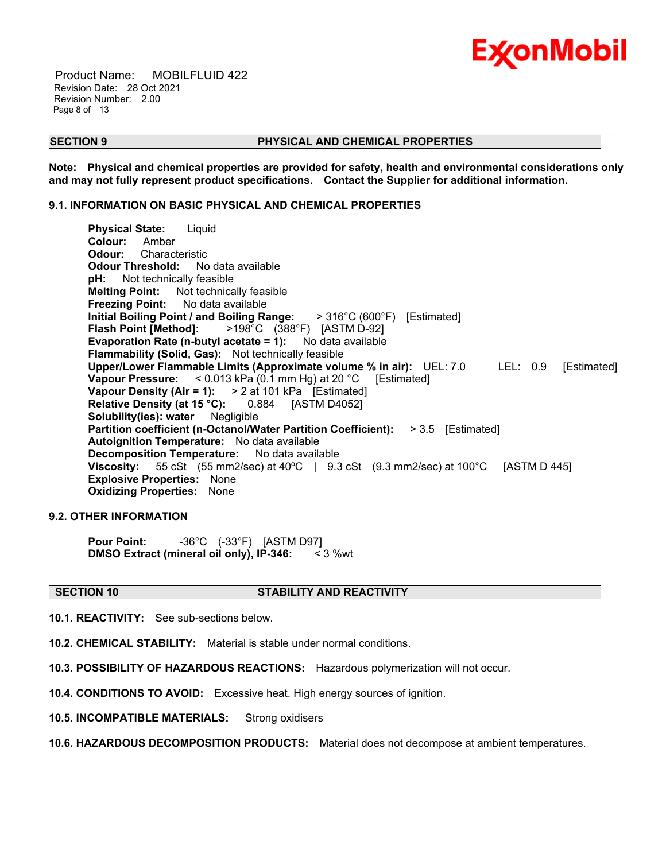

 Product Name: MOBILFLUID 422 Revision Date: 28 Oct 2021 Revision Number: 2.00 Page 8 of 13

### **SECTION 9 PHYSICAL AND CHEMICAL PROPERTIES**

**Note: Physical and chemical properties are provided for safety, health and environmental considerations only and may not fully represent product specifications. Contact the Supplier for additional information.**

\_\_\_\_\_\_\_\_\_\_\_\_\_\_\_\_\_\_\_\_\_\_\_\_\_\_\_\_\_\_\_\_\_\_\_\_\_\_\_\_\_\_\_\_\_\_\_\_\_\_\_\_\_\_\_\_\_\_\_\_\_\_\_\_\_\_\_\_\_\_\_\_\_\_\_\_\_\_\_\_\_\_\_\_\_\_\_\_\_\_\_\_\_\_\_\_\_\_\_\_\_\_\_\_\_\_\_\_\_\_\_\_\_\_\_\_\_

# **9.1. INFORMATION ON BASIC PHYSICAL AND CHEMICAL PROPERTIES**

**Physical State:** Liquid **Colour:** Amber **Odour:** Characteristic **Odour Threshold:** No data available **pH:** Not technically feasible **Melting Point:** Not technically feasible **Freezing Point:** No data available **Initial Boiling Point / and Boiling Range:** > 316°C (600°F) [Estimated] **Flash Point [Method]:** >198°C (388°F) [ASTM D-92] **Evaporation Rate (n-butyl acetate = 1):** No data available **Flammability (Solid, Gas):** Not technically feasible **Upper/Lower Flammable Limits (Approximate volume % in air):** UEL: 7.0 LEL: 0.9 [Estimated] **Vapour Pressure:** < 0.013 kPa (0.1 mm Hg) at 20 °C [Estimated] **Vapour Density (Air = 1):** > 2 at 101 kPa [Estimated] **Relative Density (at 15 °C):** 0.884 [ASTM D4052] **Solubility(ies): water** Negligible **Partition coefficient (n-Octanol/Water Partition Coefficient):** > 3.5 [Estimated] **Autoignition Temperature:** No data available **Decomposition Temperature:** No data available **Viscosity:** 55 cSt (55 mm2/sec) at 40°C | 9.3 cSt (9.3 mm2/sec) at 100°C [ASTM D 445] **Explosive Properties:** None **Oxidizing Properties:** None

# **9.2. OTHER INFORMATION**

**Pour Point:** -36°C (-33°F) [ASTM D97] **DMSO Extract (mineral oil only), IP-346:** < 3 %wt

#### **SECTION 10 STABILITY AND REACTIVITY**

**10.1. REACTIVITY:** See sub-sections below.

**10.2. CHEMICAL STABILITY:** Material is stable under normal conditions.

**10.3. POSSIBILITY OF HAZARDOUS REACTIONS:** Hazardous polymerization will not occur.

**10.4. CONDITIONS TO AVOID:** Excessive heat. High energy sources of ignition.

**10.5. INCOMPATIBLE MATERIALS:** Strong oxidisers

**10.6. HAZARDOUS DECOMPOSITION PRODUCTS:** Material does not decompose at ambient temperatures.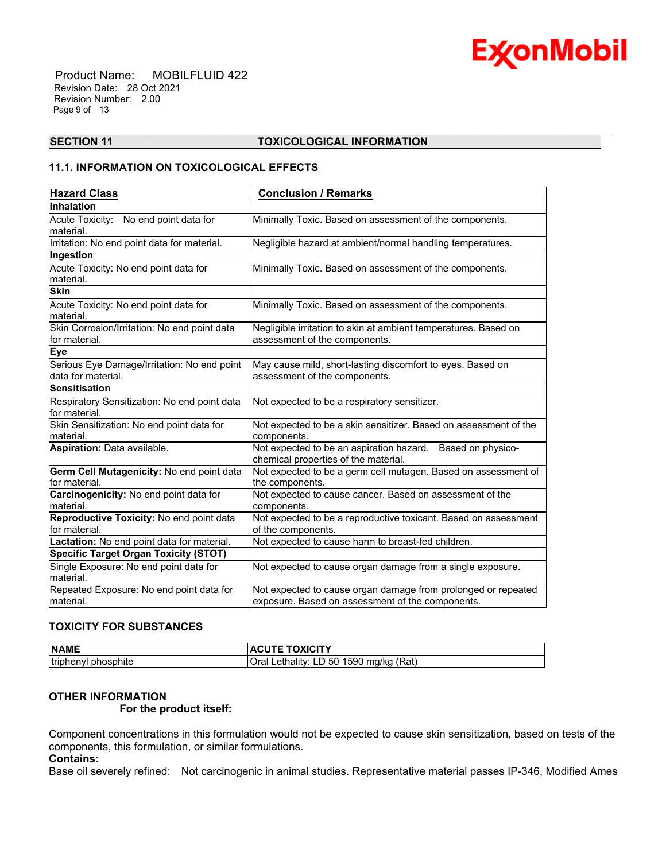

 Product Name: MOBILFLUID 422 Revision Date: 28 Oct 2021 Revision Number: 2.00 Page 9 of 13

#### \_\_\_\_\_\_\_\_\_\_\_\_\_\_\_\_\_\_\_\_\_\_\_\_\_\_\_\_\_\_\_\_\_\_\_\_\_\_\_\_\_\_\_\_\_\_\_\_\_\_\_\_\_\_\_\_\_\_\_\_\_\_\_\_\_\_\_\_\_\_\_\_\_\_\_\_\_\_\_\_\_\_\_\_\_\_\_\_\_\_\_\_\_\_\_\_\_\_\_\_\_\_\_\_\_\_\_\_\_\_\_\_\_\_\_\_\_ **SECTION 11 TOXICOLOGICAL INFORMATION**

# **11.1. INFORMATION ON TOXICOLOGICAL EFFECTS**

| <b>Hazard Class</b>                                               | <b>Conclusion / Remarks</b>                                                                                       |
|-------------------------------------------------------------------|-------------------------------------------------------------------------------------------------------------------|
| Inhalation                                                        |                                                                                                                   |
| Acute Toxicity: No end point data for<br>material.                | Minimally Toxic. Based on assessment of the components.                                                           |
| Irritation: No end point data for material.                       | Negligible hazard at ambient/normal handling temperatures.                                                        |
| Ingestion                                                         |                                                                                                                   |
| Acute Toxicity: No end point data for<br>material.                | Minimally Toxic. Based on assessment of the components.                                                           |
| <b>Skin</b>                                                       |                                                                                                                   |
| Acute Toxicity: No end point data for<br>material.                | Minimally Toxic. Based on assessment of the components.                                                           |
| Skin Corrosion/Irritation: No end point data<br>for material.     | Negligible irritation to skin at ambient temperatures. Based on<br>assessment of the components.                  |
| Eye                                                               |                                                                                                                   |
| Serious Eye Damage/Irritation: No end point<br>data for material. | May cause mild, short-lasting discomfort to eyes. Based on<br>assessment of the components.                       |
| Sensitisation                                                     |                                                                                                                   |
| Respiratory Sensitization: No end point data<br>for material.     | Not expected to be a respiratory sensitizer.                                                                      |
| Skin Sensitization: No end point data for<br>material.            | Not expected to be a skin sensitizer. Based on assessment of the<br>components.                                   |
| Aspiration: Data available.                                       | Not expected to be an aspiration hazard. Based on physico-<br>chemical properties of the material.                |
| Germ Cell Mutagenicity: No end point data<br>for material.        | Not expected to be a germ cell mutagen. Based on assessment of<br>the components.                                 |
| Carcinogenicity: No end point data for<br>lmaterial.              | Not expected to cause cancer. Based on assessment of the<br>components.                                           |
| Reproductive Toxicity: No end point data<br>for material.         | Not expected to be a reproductive toxicant. Based on assessment<br>of the components.                             |
| Lactation: No end point data for material.                        | Not expected to cause harm to breast-fed children.                                                                |
| <b>Specific Target Organ Toxicity (STOT)</b>                      |                                                                                                                   |
| Single Exposure: No end point data for<br>lmaterial.              | Not expected to cause organ damage from a single exposure.                                                        |
| Repeated Exposure: No end point data for<br>material.             | Not expected to cause organ damage from prolonged or repeated<br>exposure. Based on assessment of the components. |

# **TOXICITY FOR SUBSTANCES**

| <b>NAME</b>                    | $\pm$ TOXICITY<br>AUL                                          |
|--------------------------------|----------------------------------------------------------------|
| phosphite<br><b>Itriphenyl</b> | 1590 mg/kg<br>(Rat<br>50<br>Oral<br>∟ethality∵<br>$\Box$<br>-- |

# **OTHER INFORMATION**

 **For the product itself:** 

Component concentrations in this formulation would not be expected to cause skin sensitization, based on tests of the components, this formulation, or similar formulations.

# **Contains:**

Base oil severely refined: Not carcinogenic in animal studies. Representative material passes IP-346, Modified Ames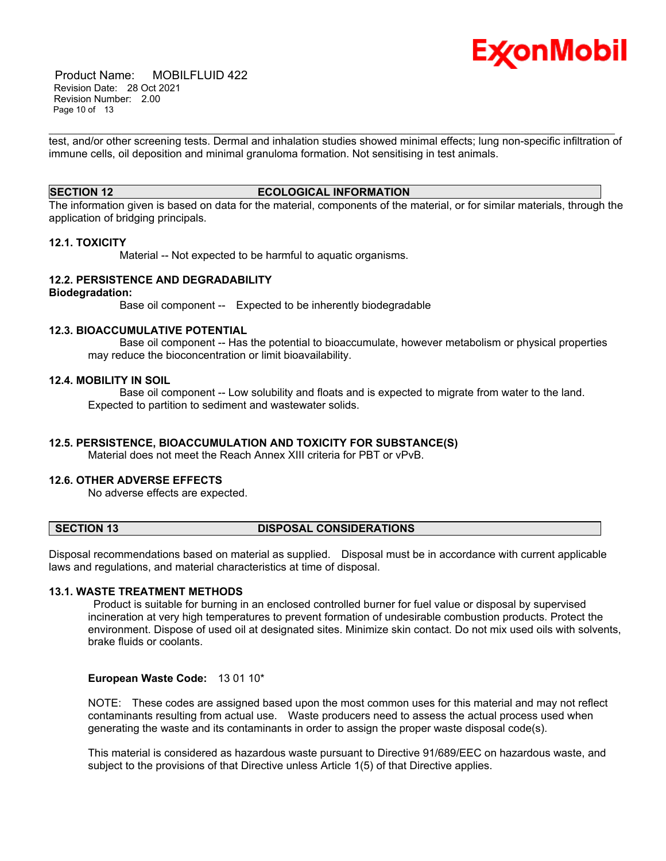

 Product Name: MOBILFLUID 422 Revision Date: 28 Oct 2021 Revision Number: 2.00 Page 10 of 13

\_\_\_\_\_\_\_\_\_\_\_\_\_\_\_\_\_\_\_\_\_\_\_\_\_\_\_\_\_\_\_\_\_\_\_\_\_\_\_\_\_\_\_\_\_\_\_\_\_\_\_\_\_\_\_\_\_\_\_\_\_\_\_\_\_\_\_\_\_\_\_\_\_\_\_\_\_\_\_\_\_\_\_\_\_\_\_\_\_\_\_\_\_\_\_\_\_\_\_\_\_\_\_\_\_\_\_\_\_\_\_\_\_\_\_\_\_ test, and/or other screening tests. Dermal and inhalation studies showed minimal effects; lung non-specific infiltration of immune cells, oil deposition and minimal granuloma formation. Not sensitising in test animals.

### **SECTION 12 ECOLOGICAL INFORMATION**

The information given is based on data for the material, components of the material, or for similar materials, through the application of bridging principals.

#### **12.1. TOXICITY**

Material -- Not expected to be harmful to aquatic organisms.

# **12.2. PERSISTENCE AND DEGRADABILITY**

### **Biodegradation:**

Base oil component -- Expected to be inherently biodegradable

#### **12.3. BIOACCUMULATIVE POTENTIAL**

 Base oil component -- Has the potential to bioaccumulate, however metabolism or physical properties may reduce the bioconcentration or limit bioavailability.

# **12.4. MOBILITY IN SOIL**

 Base oil component -- Low solubility and floats and is expected to migrate from water to the land. Expected to partition to sediment and wastewater solids.

# **12.5. PERSISTENCE, BIOACCUMULATION AND TOXICITY FOR SUBSTANCE(S)**

Material does not meet the Reach Annex XIII criteria for PBT or vPvB.

# **12.6. OTHER ADVERSE EFFECTS**

No adverse effects are expected.

### **SECTION 13 DISPOSAL CONSIDERATIONS**

Disposal recommendations based on material as supplied. Disposal must be in accordance with current applicable laws and regulations, and material characteristics at time of disposal.

#### **13.1. WASTE TREATMENT METHODS**

Product is suitable for burning in an enclosed controlled burner for fuel value or disposal by supervised incineration at very high temperatures to prevent formation of undesirable combustion products. Protect the environment. Dispose of used oil at designated sites. Minimize skin contact. Do not mix used oils with solvents, brake fluids or coolants.

# **European Waste Code:** 13 01 10\*

NOTE: These codes are assigned based upon the most common uses for this material and may not reflect contaminants resulting from actual use. Waste producers need to assess the actual process used when generating the waste and its contaminants in order to assign the proper waste disposal code(s).

This material is considered as hazardous waste pursuant to Directive 91/689/EEC on hazardous waste, and subject to the provisions of that Directive unless Article 1(5) of that Directive applies.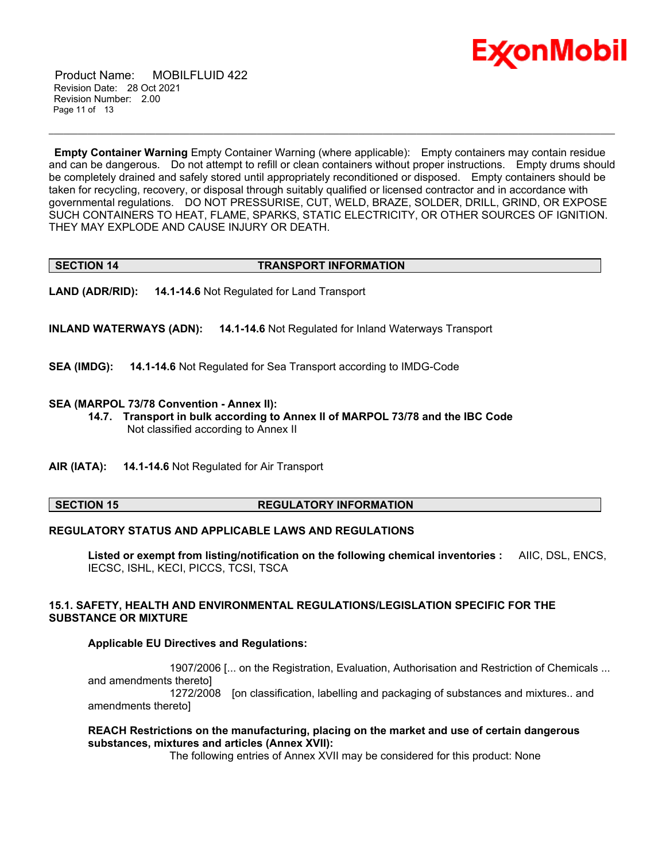

 Product Name: MOBILFLUID 422 Revision Date: 28 Oct 2021 Revision Number: 2.00 Page 11 of 13

**Empty Container Warning** Empty Container Warning (where applicable): Empty containers may contain residue and can be dangerous. Do not attempt to refill or clean containers without proper instructions. Empty drums should be completely drained and safely stored until appropriately reconditioned or disposed. Empty containers should be taken for recycling, recovery, or disposal through suitably qualified or licensed contractor and in accordance with governmental regulations. DO NOT PRESSURISE, CUT, WELD, BRAZE, SOLDER, DRILL, GRIND, OR EXPOSE SUCH CONTAINERS TO HEAT, FLAME, SPARKS, STATIC ELECTRICITY, OR OTHER SOURCES OF IGNITION. THEY MAY EXPLODE AND CAUSE INJURY OR DEATH.

\_\_\_\_\_\_\_\_\_\_\_\_\_\_\_\_\_\_\_\_\_\_\_\_\_\_\_\_\_\_\_\_\_\_\_\_\_\_\_\_\_\_\_\_\_\_\_\_\_\_\_\_\_\_\_\_\_\_\_\_\_\_\_\_\_\_\_\_\_\_\_\_\_\_\_\_\_\_\_\_\_\_\_\_\_\_\_\_\_\_\_\_\_\_\_\_\_\_\_\_\_\_\_\_\_\_\_\_\_\_\_\_\_\_\_\_\_

# **SECTION 14 TRANSPORT INFORMATION**

**LAND (ADR/RID): 14.1-14.6** Not Regulated for Land Transport

**INLAND WATERWAYS (ADN): 14.1-14.6** Not Regulated for Inland Waterways Transport

**SEA (IMDG): 14.1-14.6** Not Regulated for Sea Transport according to IMDG-Code

# **SEA (MARPOL 73/78 Convention - Annex II):**

- **14.7. Transport in bulk according to Annex II of MARPOL 73/78 and the IBC Code** Not classified according to Annex II
- **AIR (IATA): 14.1-14.6** Not Regulated for Air Transport

# **SECTION 15 REGULATORY INFORMATION**

# **REGULATORY STATUS AND APPLICABLE LAWS AND REGULATIONS**

**Listed or exempt from listing/notification on the following chemical inventories :** AIIC, DSL, ENCS, IECSC, ISHL, KECI, PICCS, TCSI, TSCA

# **15.1. SAFETY, HEALTH AND ENVIRONMENTAL REGULATIONS/LEGISLATION SPECIFIC FOR THE SUBSTANCE OR MIXTURE**

# **Applicable EU Directives and Regulations:**

 1907/2006 [... on the Registration, Evaluation, Authorisation and Restriction of Chemicals ... and amendments thereto] 1272/2008 [on classification, labelling and packaging of substances and mixtures.. and amendments thereto]

# **REACH Restrictions on the manufacturing, placing on the market and use of certain dangerous substances, mixtures and articles (Annex XVII):**

The following entries of Annex XVII may be considered for this product: None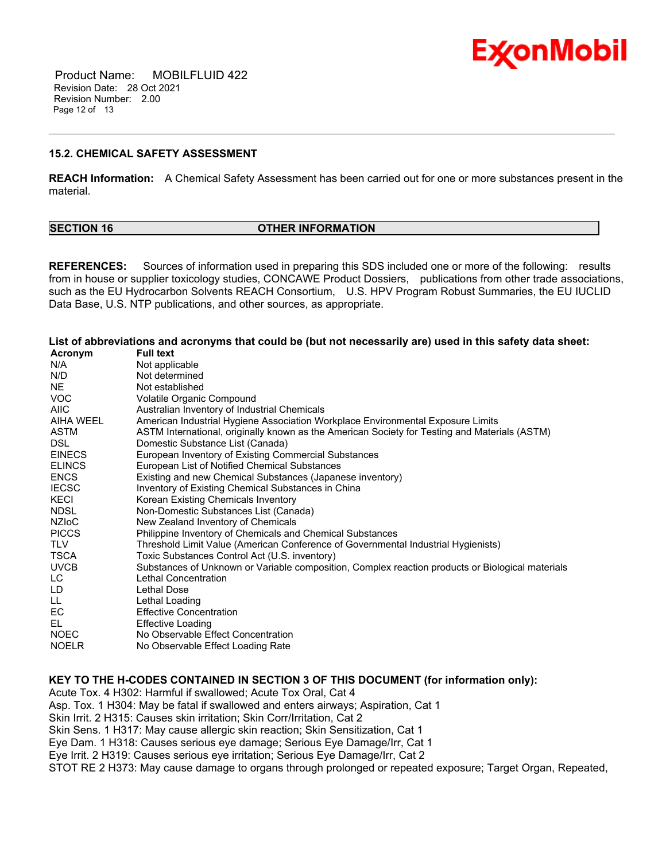

 Product Name: MOBILFLUID 422 Revision Date: 28 Oct 2021 Revision Number: 2.00 Page 12 of 13

# **15.2. CHEMICAL SAFETY ASSESSMENT**

**REACH Information:** A Chemical Safety Assessment has been carried out for one or more substances present in the material.

\_\_\_\_\_\_\_\_\_\_\_\_\_\_\_\_\_\_\_\_\_\_\_\_\_\_\_\_\_\_\_\_\_\_\_\_\_\_\_\_\_\_\_\_\_\_\_\_\_\_\_\_\_\_\_\_\_\_\_\_\_\_\_\_\_\_\_\_\_\_\_\_\_\_\_\_\_\_\_\_\_\_\_\_\_\_\_\_\_\_\_\_\_\_\_\_\_\_\_\_\_\_\_\_\_\_\_\_\_\_\_\_\_\_\_\_\_

| <b>SECTION 16</b> | <b>OTHER INFORMATION</b> |
|-------------------|--------------------------|
|                   |                          |

**REFERENCES:** Sources of information used in preparing this SDS included one or more of the following: results from in house or supplier toxicology studies, CONCAWE Product Dossiers, publications from other trade associations, such as the EU Hydrocarbon Solvents REACH Consortium, U.S. HPV Program Robust Summaries, the EU IUCLID Data Base, U.S. NTP publications, and other sources, as appropriate.

List of abbreviations and acronyms that could be (but not necessarily are) used in this safety data sheet:

| Acronym          | <b>Full text</b>                                                                                 |
|------------------|--------------------------------------------------------------------------------------------------|
| N/A              | Not applicable                                                                                   |
| N/D              | Not determined                                                                                   |
| NE.              | Not established                                                                                  |
| <b>VOC</b>       | Volatile Organic Compound                                                                        |
| <b>AIIC</b>      | Australian Inventory of Industrial Chemicals                                                     |
| <b>AIHA WEEL</b> | American Industrial Hygiene Association Workplace Environmental Exposure Limits                  |
| ASTM             | ASTM International, originally known as the American Society for Testing and Materials (ASTM)    |
| DSL.             | Domestic Substance List (Canada)                                                                 |
| <b>EINECS</b>    | European Inventory of Existing Commercial Substances                                             |
| <b>ELINCS</b>    | European List of Notified Chemical Substances                                                    |
| <b>ENCS</b>      | Existing and new Chemical Substances (Japanese inventory)                                        |
| <b>IECSC</b>     | Inventory of Existing Chemical Substances in China                                               |
| KECI             | Korean Existing Chemicals Inventory                                                              |
| <b>NDSL</b>      | Non-Domestic Substances List (Canada)                                                            |
| <b>NZIOC</b>     | New Zealand Inventory of Chemicals                                                               |
| <b>PICCS</b>     | Philippine Inventory of Chemicals and Chemical Substances                                        |
| <b>TLV</b>       | Threshold Limit Value (American Conference of Governmental Industrial Hygienists)                |
| TSCA             | Toxic Substances Control Act (U.S. inventory)                                                    |
| <b>UVCB</b>      | Substances of Unknown or Variable composition, Complex reaction products or Biological materials |
| LC               | Lethal Concentration                                                                             |
| LD               | Lethal Dose                                                                                      |
| LL.              | Lethal Loading                                                                                   |
| EC               | <b>Effective Concentration</b>                                                                   |
| EL               | <b>Effective Loading</b>                                                                         |
| <b>NOEC</b>      | No Observable Effect Concentration                                                               |
| <b>NOELR</b>     | No Observable Effect Loading Rate                                                                |

**KEY TO THE H-CODES CONTAINED IN SECTION 3 OF THIS DOCUMENT (for information only):**

Acute Tox. 4 H302: Harmful if swallowed; Acute Tox Oral, Cat 4

Asp. Tox. 1 H304: May be fatal if swallowed and enters airways; Aspiration, Cat 1

Skin Irrit. 2 H315: Causes skin irritation; Skin Corr/Irritation, Cat 2

Skin Sens. 1 H317: May cause allergic skin reaction; Skin Sensitization, Cat 1

Eye Dam. 1 H318: Causes serious eye damage; Serious Eye Damage/Irr, Cat 1

Eye Irrit. 2 H319: Causes serious eye irritation; Serious Eye Damage/Irr, Cat 2

STOT RE 2 H373: May cause damage to organs through prolonged or repeated exposure; Target Organ, Repeated,